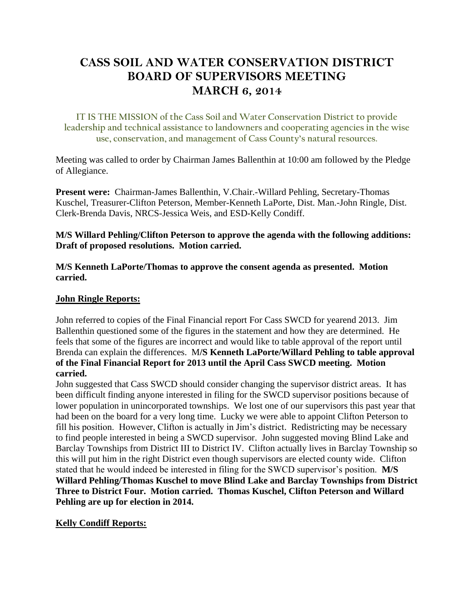# **CASS SOIL AND WATER CONSERVATION DISTRICT BOARD OF SUPERVISORS MEETING MARCH 6, 2014**

**IT IS THE MISSION of the Cass Soil and Water Conservation District to provide leadership and technical assistance to landowners and cooperating agencies in the wise use, conservation, and management of Cass County's natural resources.**

Meeting was called to order by Chairman James Ballenthin at 10:00 am followed by the Pledge of Allegiance.

**Present were:** Chairman-James Ballenthin, V.Chair.-Willard Pehling, Secretary-Thomas Kuschel, Treasurer-Clifton Peterson, Member-Kenneth LaPorte, Dist. Man.-John Ringle, Dist. Clerk-Brenda Davis, NRCS-Jessica Weis, and ESD-Kelly Condiff.

**M/S Willard Pehling/Clifton Peterson to approve the agenda with the following additions: Draft of proposed resolutions. Motion carried.**

**M/S Kenneth LaPorte/Thomas to approve the consent agenda as presented. Motion carried.**

#### **John Ringle Reports:**

John referred to copies of the Final Financial report For Cass SWCD for yearend 2013. Jim Ballenthin questioned some of the figures in the statement and how they are determined. He feels that some of the figures are incorrect and would like to table approval of the report until Brenda can explain the differences. M**/S Kenneth LaPorte/Willard Pehling to table approval of the Final Financial Report for 2013 until the April Cass SWCD meeting. Motion carried.**

John suggested that Cass SWCD should consider changing the supervisor district areas. It has been difficult finding anyone interested in filing for the SWCD supervisor positions because of lower population in unincorporated townships. We lost one of our supervisors this past year that had been on the board for a very long time. Lucky we were able to appoint Clifton Peterson to fill his position. However, Clifton is actually in Jim's district. Redistricting may be necessary to find people interested in being a SWCD supervisor. John suggested moving Blind Lake and Barclay Townships from District III to District IV. Clifton actually lives in Barclay Township so this will put him in the right District even though supervisors are elected county wide. Clifton stated that he would indeed be interested in filing for the SWCD supervisor's position. **M/S Willard Pehling/Thomas Kuschel to move Blind Lake and Barclay Townships from District Three to District Four. Motion carried. Thomas Kuschel, Clifton Peterson and Willard Pehling are up for election in 2014.**

#### **Kelly Condiff Reports:**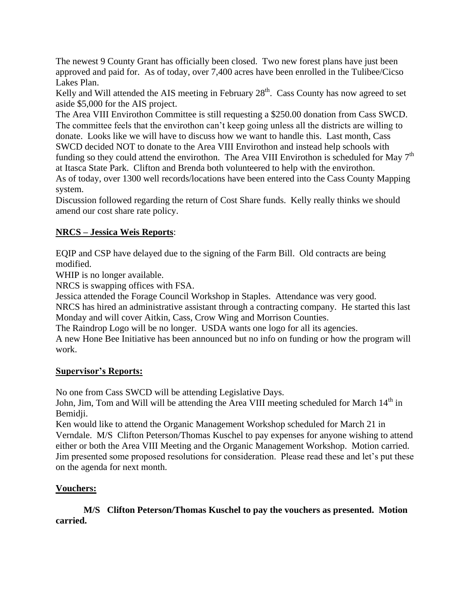The newest 9 County Grant has officially been closed. Two new forest plans have just been approved and paid for. As of today, over 7,400 acres have been enrolled in the Tulibee/Cicso Lakes Plan.

Kelly and Will attended the AIS meeting in February  $28<sup>th</sup>$ . Cass County has now agreed to set aside \$5,000 for the AIS project.

The Area VIII Envirothon Committee is still requesting a \$250.00 donation from Cass SWCD. The committee feels that the envirothon can't keep going unless all the districts are willing to donate. Looks like we will have to discuss how we want to handle this. Last month, Cass SWCD decided NOT to donate to the Area VIII Envirothon and instead help schools with funding so they could attend the envirothon. The Area VIII Envirothon is scheduled for May  $7<sup>th</sup>$ at Itasca State Park. Clifton and Brenda both volunteered to help with the envirothon. As of today, over 1300 well records/locations have been entered into the Cass County Mapping system.

Discussion followed regarding the return of Cost Share funds. Kelly really thinks we should amend our cost share rate policy.

# **NRCS – Jessica Weis Reports**:

EQIP and CSP have delayed due to the signing of the Farm Bill. Old contracts are being modified.

WHIP is no longer available.

NRCS is swapping offices with FSA.

Jessica attended the Forage Council Workshop in Staples. Attendance was very good.

NRCS has hired an administrative assistant through a contracting company. He started this last Monday and will cover Aitkin, Cass, Crow Wing and Morrison Counties.

The Raindrop Logo will be no longer. USDA wants one logo for all its agencies.

A new Hone Bee Initiative has been announced but no info on funding or how the program will work.

# **Supervisor's Reports:**

No one from Cass SWCD will be attending Legislative Days.

John, Jim, Tom and Will will be attending the Area VIII meeting scheduled for March 14<sup>th</sup> in Bemidii.

Ken would like to attend the Organic Management Workshop scheduled for March 21 in Verndale. M/S Clifton Peterson/Thomas Kuschel to pay expenses for anyone wishing to attend either or both the Area VIII Meeting and the Organic Management Workshop. Motion carried. Jim presented some proposed resolutions for consideration. Please read these and let's put these on the agenda for next month.

# **Vouchers:**

#### **M/S Clifton Peterson/Thomas Kuschel to pay the vouchers as presented. Motion carried.**